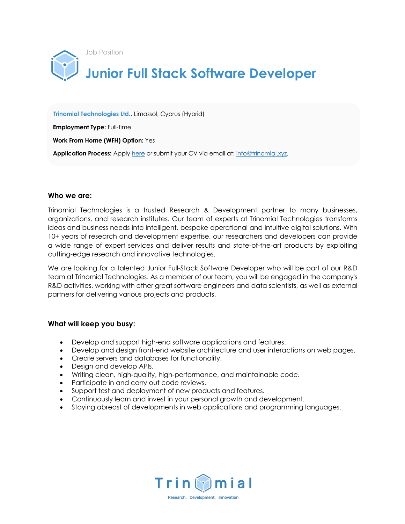

 **Trinomial Technologies Ltd.**, Limassol, Cyprus (Hybrid)

 **Employment Type:** Full-time

 **Work From Home (WFH) Option:** Yes

 **Application Process:** Apply here or submit your CV via email at: info@trinomial.xyz.

### **Who we are:**

Trinomial Technologies is a trusted Research & Development partner to many businesses, organizations, and research institutes. Our team of experts at Trinomial Technologies transforms ideas and business needs into intelligent, bespoke operational and intuitive digital solutions. With 10+ years of research and development expertise, our researchers and developers can provide a wide range of expert services and deliver results and state-of-the-art products by exploiting cutting-edge research and innovative technologies.

We are looking for a talented Junior Full-Stack Software Developer who will be part of our R&D team at Trinomial Technologies. As a member of our team, you will be engaged in the company's R&D activities, working with other great software engineers and data scientists, as well as external partners for delivering various projects and products.

# **What will keep you busy:**

- Develop and support high-end software applications and features.
- Develop and design front-end website architecture and user interactions on web pages.
- Create servers and databases for functionality.
- Design and develop APIs.
- Writing clean, high-quality, high-performance, and maintainable code.
- Participate in and carry out code reviews.
- Support test and deployment of new products and features.
- Continuously learn and invest in your personal growth and development.
- Staying abreast of developments in web applications and programming languages.